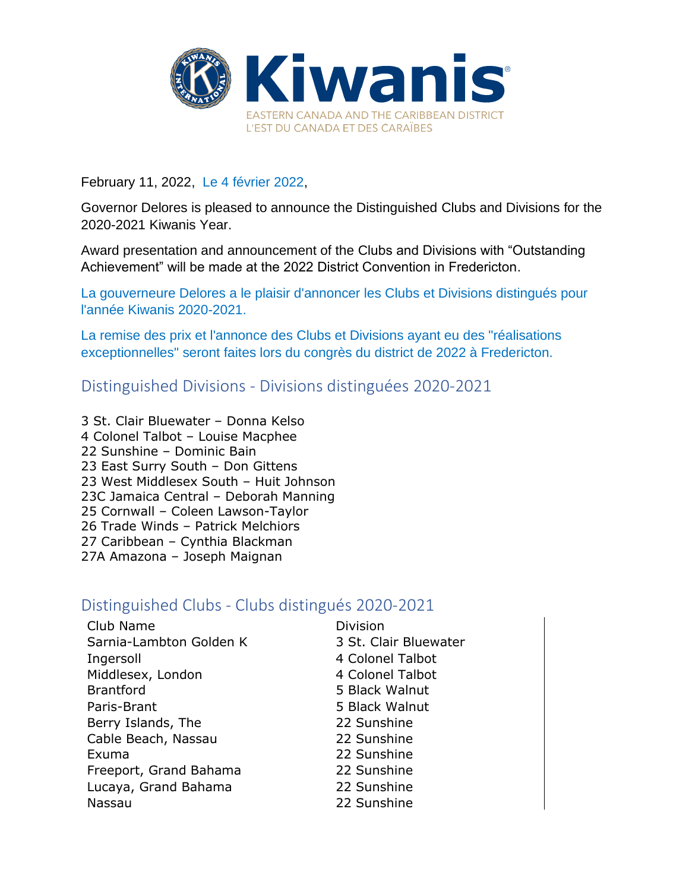

February 11, 2022, Le 4 février 2022,

Governor Delores is pleased to announce the Distinguished Clubs and Divisions for the 2020-2021 Kiwanis Year.

Award presentation and announcement of the Clubs and Divisions with "Outstanding Achievement" will be made at the 2022 District Convention in Fredericton.

La gouverneure Delores a le plaisir d'annoncer les Clubs et Divisions distingués pour l'année Kiwanis 2020-2021.

La remise des prix et l'annonce des Clubs et Divisions ayant eu des "réalisations exceptionnelles" seront faites lors du congrès du district de 2022 à Fredericton.

Distinguished Divisions - Divisions distinguées 2020-2021

3 St. Clair Bluewater – Donna Kelso 4 Colonel Talbot – Louise Macphee 22 Sunshine – Dominic Bain 23 East Surry South – Don Gittens 23 West Middlesex South – Huit Johnson 23C Jamaica Central – Deborah Manning 25 Cornwall – Coleen Lawson-Taylor 26 Trade Winds – Patrick Melchiors 27 Caribbean – Cynthia Blackman 27A Amazona – Joseph Maignan

## Distinguished Clubs - Clubs distingués 2020-2021

| Club Name               | <b>Division</b>       |
|-------------------------|-----------------------|
| Sarnia-Lambton Golden K | 3 St. Clair Bluewater |
| Ingersoll               | 4 Colonel Talbot      |
| Middlesex, London       | 4 Colonel Talbot      |
| <b>Brantford</b>        | 5 Black Walnut        |
| Paris-Brant             | 5 Black Walnut        |
| Berry Islands, The      | 22 Sunshine           |
| Cable Beach, Nassau     | 22 Sunshine           |
| Exuma                   | 22 Sunshine           |
| Freeport, Grand Bahama  | 22 Sunshine           |
| Lucaya, Grand Bahama    | 22 Sunshine           |
| Nassau                  | 22 Sunshine           |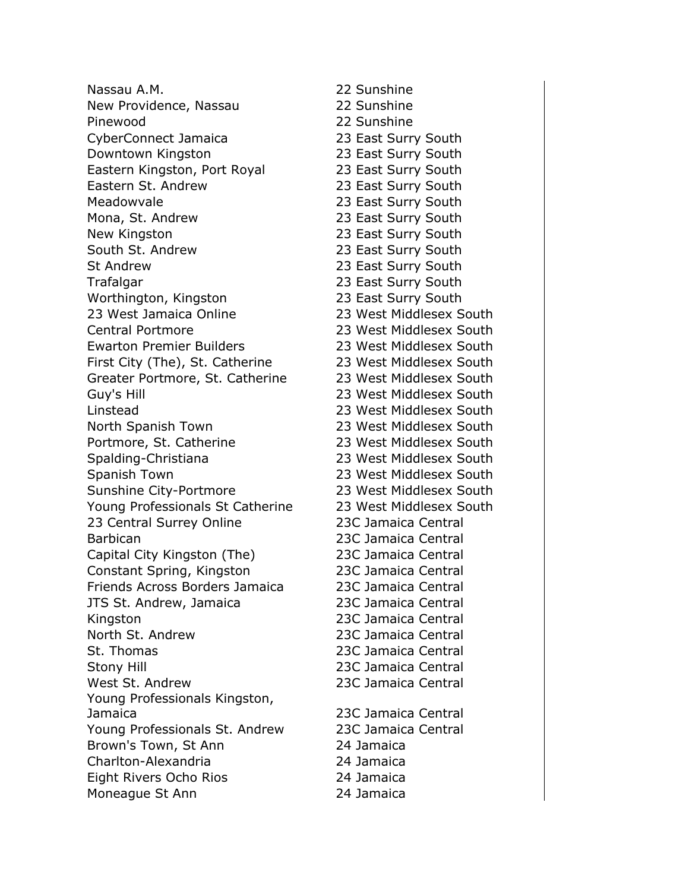Nassau A.M. 22 Sunshine New Providence, Nassau 22 Sunshine Pinewood 22 Sunshine CyberConnect Jamaica 23 East Surry South Downtown Kingston 23 East Surry South Eastern Kingston, Port Royal 23 East Surry South Eastern St. Andrew 23 East Surry South Meadowvale 23 East Surry South Mona, St. Andrew 23 East Surry South New Kingston 23 East Surry South South St. Andrew 23 East Surry South St Andrew 23 East Surry South Trafalgar 23 East Surry South Worthington, Kingston 23 East Surry South 23 West Jamaica Online 23 West Middlesex South Central Portmore 23 West Middlesex South Ewarton Premier Builders 23 West Middlesex South First City (The), St. Catherine 23 West Middlesex South Greater Portmore, St. Catherine 23 West Middlesex South Guy's Hill 23 West Middlesex South Linstead 23 West Middlesex South North Spanish Town 23 West Middlesex South Portmore, St. Catherine 23 West Middlesex South Spalding-Christiana 23 West Middlesex South Spanish Town 23 West Middlesex South Sunshine City-Portmore 23 West Middlesex South Young Professionals St Catherine 23 West Middlesex South 23 Central Surrey Online 23C Jamaica Central Barbican 23C Jamaica Central Capital City Kingston (The) 23C Jamaica Central Constant Spring, Kingston 23C Jamaica Central Friends Across Borders Jamaica 23C Jamaica Central JTS St. Andrew, Jamaica 23C Jamaica Central Kingston 23C Jamaica Central North St. Andrew 23C Jamaica Central St. Thomas 23C Jamaica Central Stony Hill 23C Jamaica Central West St. Andrew 23C Jamaica Central Young Professionals Kingston, Jamaica 23C Jamaica Central Young Professionals St. Andrew 23C Jamaica Central Brown's Town, St Ann 24 Jamaica Charlton-Alexandria 24 Jamaica Eight Rivers Ocho Rios 24 Jamaica Moneague St Ann 24 Jamaica